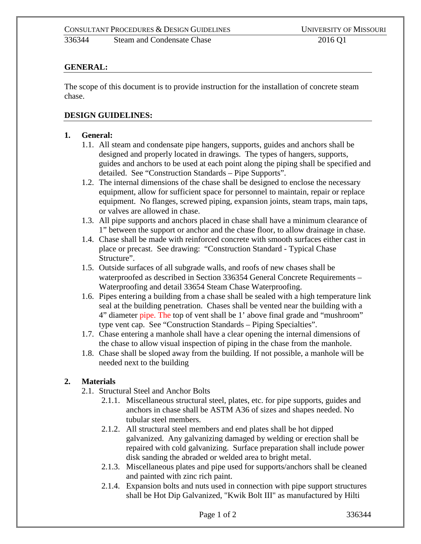336344 Steam and Condensate Chase 2016 Q1

# **GENERAL:**

The scope of this document is to provide instruction for the installation of concrete steam chase.

#### **DESIGN GUIDELINES:**

#### **1. General:**

- 1.1. All steam and condensate pipe hangers, supports, guides and anchors shall be designed and properly located in drawings. The types of hangers, supports, guides and anchors to be used at each point along the piping shall be specified and detailed. See "Construction Standards – Pipe Supports".
- 1.2. The internal dimensions of the chase shall be designed to enclose the necessary equipment, allow for sufficient space for personnel to maintain, repair or replace equipment. No flanges, screwed piping, expansion joints, steam traps, main taps, or valves are allowed in chase.
- 1.3. All pipe supports and anchors placed in chase shall have a minimum clearance of 1" between the support or anchor and the chase floor, to allow drainage in chase.
- 1.4. Chase shall be made with reinforced concrete with smooth surfaces either cast in place or precast. See drawing: "Construction Standard - Typical Chase Structure".
- 1.5. Outside surfaces of all subgrade walls, and roofs of new chases shall be waterproofed as described in Section 336354 General Concrete Requirements – Waterproofing and detail 33654 Steam Chase Waterproofing.
- 1.6. Pipes entering a building from a chase shall be sealed with a high temperature link seal at the building penetration. Chases shall be vented near the building with a 4" diameter pipe. The top of vent shall be 1' above final grade and "mushroom" type vent cap. See "Construction Standards – Piping Specialties".
- 1.7. Chase entering a manhole shall have a clear opening the internal dimensions of the chase to allow visual inspection of piping in the chase from the manhole.
- 1.8. Chase shall be sloped away from the building. If not possible, a manhole will be needed next to the building

## **2. Materials**

- 2.1. Structural Steel and Anchor Bolts
	- 2.1.1. Miscellaneous structural steel, plates, etc. for pipe supports, guides and anchors in chase shall be ASTM A36 of sizes and shapes needed. No tubular steel members.
	- 2.1.2. All structural steel members and end plates shall be hot dipped galvanized. Any galvanizing damaged by welding or erection shall be repaired with cold galvanizing. Surface preparation shall include power disk sanding the abraded or welded area to bright metal.
	- 2.1.3. Miscellaneous plates and pipe used for supports/anchors shall be cleaned and painted with zinc rich paint.
	- 2.1.4. Expansion bolts and nuts used in connection with pipe support structures shall be Hot Dip Galvanized, "Kwik Bolt III" as manufactured by Hilti